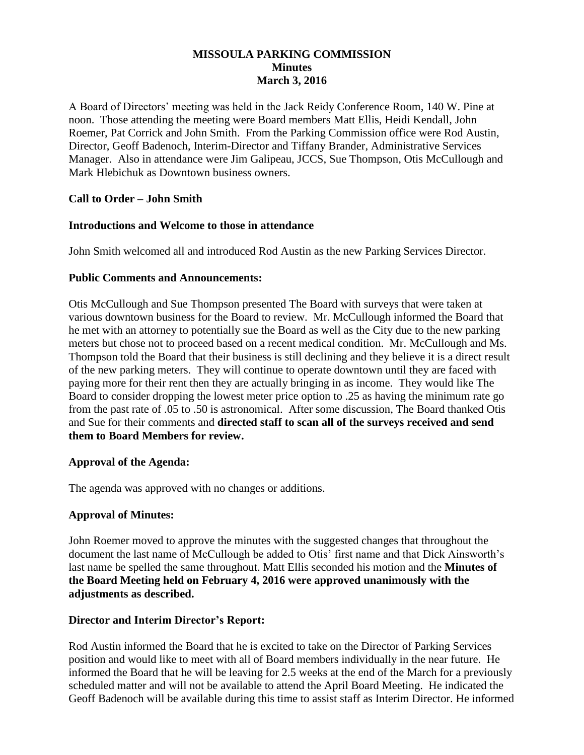# **MISSOULA PARKING COMMISSION Minutes March 3, 2016**

A Board of Directors' meeting was held in the Jack Reidy Conference Room, 140 W. Pine at noon. Those attending the meeting were Board members Matt Ellis, Heidi Kendall, John Roemer, Pat Corrick and John Smith. From the Parking Commission office were Rod Austin, Director, Geoff Badenoch, Interim-Director and Tiffany Brander, Administrative Services Manager. Also in attendance were Jim Galipeau, JCCS, Sue Thompson, Otis McCullough and Mark Hlebichuk as Downtown business owners.

# **Call to Order – John Smith**

## **Introductions and Welcome to those in attendance**

John Smith welcomed all and introduced Rod Austin as the new Parking Services Director.

## **Public Comments and Announcements:**

Otis McCullough and Sue Thompson presented The Board with surveys that were taken at various downtown business for the Board to review. Mr. McCullough informed the Board that he met with an attorney to potentially sue the Board as well as the City due to the new parking meters but chose not to proceed based on a recent medical condition. Mr. McCullough and Ms. Thompson told the Board that their business is still declining and they believe it is a direct result of the new parking meters. They will continue to operate downtown until they are faced with paying more for their rent then they are actually bringing in as income. They would like The Board to consider dropping the lowest meter price option to .25 as having the minimum rate go from the past rate of .05 to .50 is astronomical. After some discussion, The Board thanked Otis and Sue for their comments and **directed staff to scan all of the surveys received and send them to Board Members for review.**

### **Approval of the Agenda:**

The agenda was approved with no changes or additions.

# **Approval of Minutes:**

John Roemer moved to approve the minutes with the suggested changes that throughout the document the last name of McCullough be added to Otis' first name and that Dick Ainsworth's last name be spelled the same throughout. Matt Ellis seconded his motion and the **Minutes of the Board Meeting held on February 4, 2016 were approved unanimously with the adjustments as described.**

### **Director and Interim Director's Report:**

Rod Austin informed the Board that he is excited to take on the Director of Parking Services position and would like to meet with all of Board members individually in the near future. He informed the Board that he will be leaving for 2.5 weeks at the end of the March for a previously scheduled matter and will not be available to attend the April Board Meeting. He indicated the Geoff Badenoch will be available during this time to assist staff as Interim Director. He informed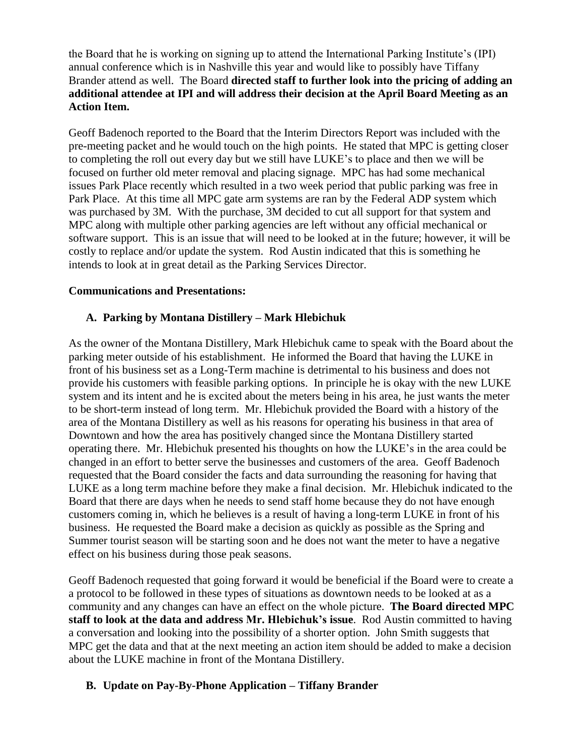the Board that he is working on signing up to attend the International Parking Institute's (IPI) annual conference which is in Nashville this year and would like to possibly have Tiffany Brander attend as well. The Board **directed staff to further look into the pricing of adding an additional attendee at IPI and will address their decision at the April Board Meeting as an Action Item.**

Geoff Badenoch reported to the Board that the Interim Directors Report was included with the pre-meeting packet and he would touch on the high points. He stated that MPC is getting closer to completing the roll out every day but we still have LUKE's to place and then we will be focused on further old meter removal and placing signage. MPC has had some mechanical issues Park Place recently which resulted in a two week period that public parking was free in Park Place. At this time all MPC gate arm systems are ran by the Federal ADP system which was purchased by 3M. With the purchase, 3M decided to cut all support for that system and MPC along with multiple other parking agencies are left without any official mechanical or software support. This is an issue that will need to be looked at in the future; however, it will be costly to replace and/or update the system. Rod Austin indicated that this is something he intends to look at in great detail as the Parking Services Director.

## **Communications and Presentations:**

# **A. Parking by Montana Distillery – Mark Hlebichuk**

As the owner of the Montana Distillery, Mark Hlebichuk came to speak with the Board about the parking meter outside of his establishment. He informed the Board that having the LUKE in front of his business set as a Long-Term machine is detrimental to his business and does not provide his customers with feasible parking options. In principle he is okay with the new LUKE system and its intent and he is excited about the meters being in his area, he just wants the meter to be short-term instead of long term. Mr. Hlebichuk provided the Board with a history of the area of the Montana Distillery as well as his reasons for operating his business in that area of Downtown and how the area has positively changed since the Montana Distillery started operating there. Mr. Hlebichuk presented his thoughts on how the LUKE's in the area could be changed in an effort to better serve the businesses and customers of the area. Geoff Badenoch requested that the Board consider the facts and data surrounding the reasoning for having that LUKE as a long term machine before they make a final decision. Mr. Hlebichuk indicated to the Board that there are days when he needs to send staff home because they do not have enough customers coming in, which he believes is a result of having a long-term LUKE in front of his business. He requested the Board make a decision as quickly as possible as the Spring and Summer tourist season will be starting soon and he does not want the meter to have a negative effect on his business during those peak seasons.

Geoff Badenoch requested that going forward it would be beneficial if the Board were to create a a protocol to be followed in these types of situations as downtown needs to be looked at as a community and any changes can have an effect on the whole picture. **The Board directed MPC staff to look at the data and address Mr. Hlebichuk's issue**. Rod Austin committed to having a conversation and looking into the possibility of a shorter option. John Smith suggests that MPC get the data and that at the next meeting an action item should be added to make a decision about the LUKE machine in front of the Montana Distillery.

# **B. Update on Pay-By-Phone Application – Tiffany Brander**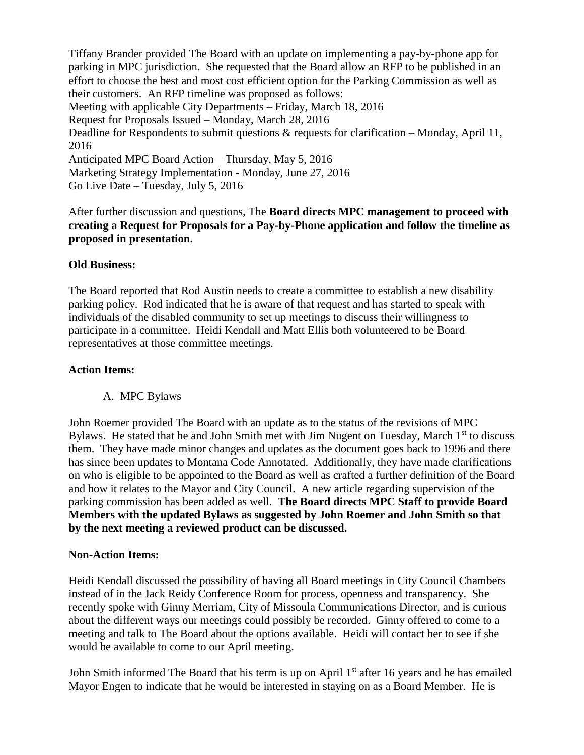Tiffany Brander provided The Board with an update on implementing a pay-by-phone app for parking in MPC jurisdiction. She requested that the Board allow an RFP to be published in an effort to choose the best and most cost efficient option for the Parking Commission as well as their customers. An RFP timeline was proposed as follows: Meeting with applicable City Departments – Friday, March 18, 2016 Request for Proposals Issued – Monday, March 28, 2016 Deadline for Respondents to submit questions & requests for clarification – Monday, April 11, 2016 Anticipated MPC Board Action – Thursday, May 5, 2016 Marketing Strategy Implementation - Monday, June 27, 2016 Go Live Date – Tuesday, July 5, 2016

After further discussion and questions, The **Board directs MPC management to proceed with creating a Request for Proposals for a Pay-by-Phone application and follow the timeline as proposed in presentation.** 

### **Old Business:**

The Board reported that Rod Austin needs to create a committee to establish a new disability parking policy. Rod indicated that he is aware of that request and has started to speak with individuals of the disabled community to set up meetings to discuss their willingness to participate in a committee. Heidi Kendall and Matt Ellis both volunteered to be Board representatives at those committee meetings.

#### **Action Items:**

### A. MPC Bylaws

John Roemer provided The Board with an update as to the status of the revisions of MPC Bylaws. He stated that he and John Smith met with Jim Nugent on Tuesday, March 1<sup>st</sup> to discuss them. They have made minor changes and updates as the document goes back to 1996 and there has since been updates to Montana Code Annotated. Additionally, they have made clarifications on who is eligible to be appointed to the Board as well as crafted a further definition of the Board and how it relates to the Mayor and City Council. A new article regarding supervision of the parking commission has been added as well. **The Board directs MPC Staff to provide Board Members with the updated Bylaws as suggested by John Roemer and John Smith so that by the next meeting a reviewed product can be discussed.**

#### **Non-Action Items:**

Heidi Kendall discussed the possibility of having all Board meetings in City Council Chambers instead of in the Jack Reidy Conference Room for process, openness and transparency. She recently spoke with Ginny Merriam, City of Missoula Communications Director, and is curious about the different ways our meetings could possibly be recorded. Ginny offered to come to a meeting and talk to The Board about the options available. Heidi will contact her to see if she would be available to come to our April meeting.

John Smith informed The Board that his term is up on April 1<sup>st</sup> after 16 years and he has emailed Mayor Engen to indicate that he would be interested in staying on as a Board Member. He is